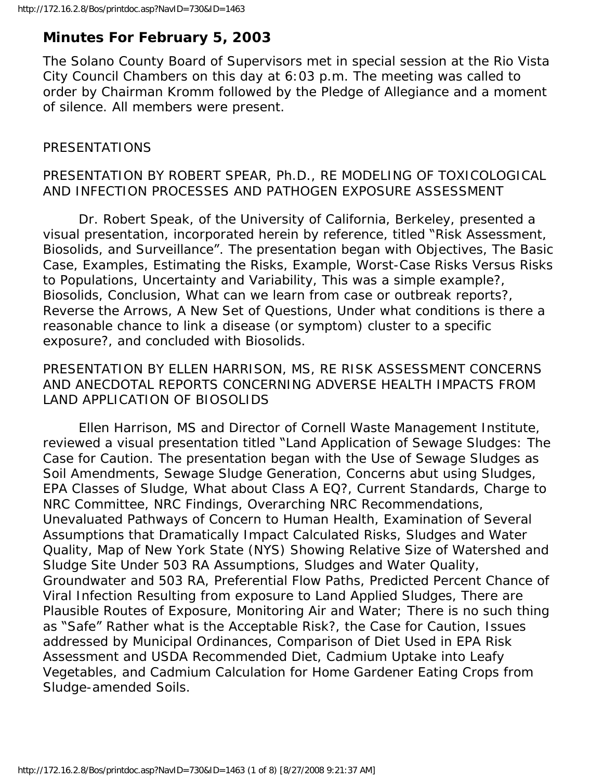# **Minutes For February 5, 2003**

The Solano County Board of Supervisors met in special session at the Rio Vista City Council Chambers on this day at 6:03 p.m. The meeting was called to order by Chairman Kromm followed by the Pledge of Allegiance and a moment of silence. All members were present.

## PRESENTATIONS

### PRESENTATION BY ROBERT SPEAR, Ph.D., RE MODELING OF TOXICOLOGICAL AND INFECTION PROCESSES AND PATHOGEN EXPOSURE ASSESSMENT

 Dr. Robert Speak, of the University of California, Berkeley, presented a visual presentation, incorporated herein by reference, titled "Risk Assessment, Biosolids, and Surveillance". The presentation began with Objectives, The Basic Case, Examples, Estimating the Risks, Example, Worst-Case Risks Versus Risks to Populations, Uncertainty and Variability, This was a simple example?, Biosolids, Conclusion, What can we learn from case or outbreak reports?, Reverse the Arrows, A New Set of Questions, Under what conditions is there a reasonable chance to link a disease (or symptom) cluster to a specific exposure?, and concluded with Biosolids.

#### PRESENTATION BY ELLEN HARRISON, MS, RE RISK ASSESSMENT CONCERNS AND ANECDOTAL REPORTS CONCERNING ADVERSE HEALTH IMPACTS FROM LAND APPLICATION OF BIOSOLIDS

 Ellen Harrison, MS and Director of Cornell Waste Management Institute, reviewed a visual presentation titled "Land Application of Sewage Sludges: The Case for Caution. The presentation began with the Use of Sewage Sludges as Soil Amendments, Sewage Sludge Generation, Concerns abut using Sludges, EPA Classes of Sludge, What about Class A EQ?, Current Standards, Charge to NRC Committee, NRC Findings, Overarching NRC Recommendations, Unevaluated Pathways of Concern to Human Health, Examination of Several Assumptions that Dramatically Impact Calculated Risks, Sludges and Water Quality, Map of New York State (NYS) Showing Relative Size of Watershed and Sludge Site Under 503 RA Assumptions, Sludges and Water Quality, Groundwater and 503 RA, Preferential Flow Paths, Predicted Percent Chance of Viral Infection Resulting from exposure to Land Applied Sludges, There are Plausible Routes of Exposure, Monitoring Air and Water; There is no such thing as "Safe" Rather what is the Acceptable Risk?, the Case for Caution, Issues addressed by Municipal Ordinances, Comparison of Diet Used in EPA Risk Assessment and USDA Recommended Diet, Cadmium Uptake into Leafy Vegetables, and Cadmium Calculation for Home Gardener Eating Crops from Sludge-amended Soils.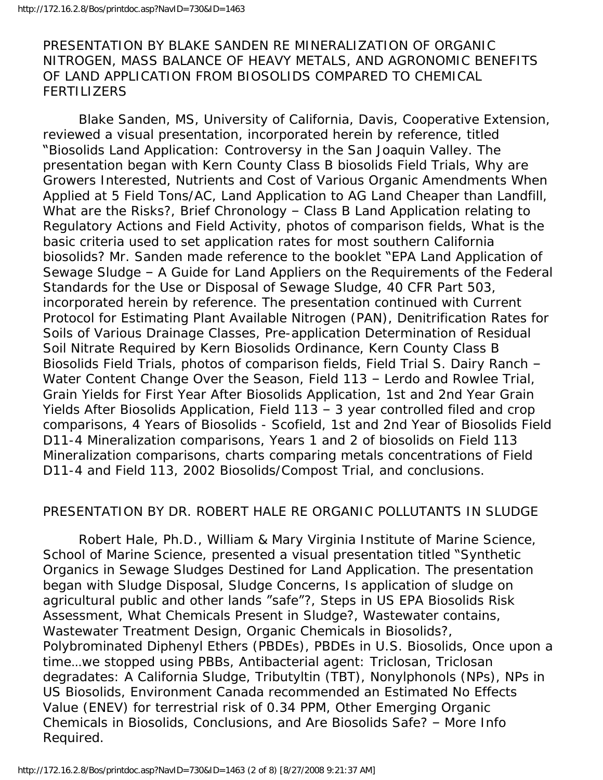PRESENTATION BY BLAKE SANDEN RE MINERALIZATION OF ORGANIC NITROGEN, MASS BALANCE OF HEAVY METALS, AND AGRONOMIC BENEFITS OF LAND APPLICATION FROM BIOSOLIDS COMPARED TO CHEMICAL **FERTILIZERS** 

 Blake Sanden, MS, University of California, Davis, Cooperative Extension, reviewed a visual presentation, incorporated herein by reference, titled "Biosolids Land Application: Controversy in the San Joaquin Valley. The presentation began with Kern County Class B biosolids Field Trials, Why are Growers Interested, Nutrients and Cost of Various Organic Amendments When Applied at 5 Field Tons/AC, Land Application to AG Land Cheaper than Landfill, What are the Risks?, Brief Chronology - Class B Land Application relating to Regulatory Actions and Field Activity, photos of comparison fields, What is the basic criteria used to set application rates for most southern California biosolids? Mr. Sanden made reference to the booklet "EPA Land Application of Sewage Sludge – A Guide for Land Appliers on the Requirements of the Federal Standards for the Use or Disposal of Sewage Sludge, 40 CFR Part 503, incorporated herein by reference. The presentation continued with Current Protocol for Estimating Plant Available Nitrogen (PAN), Denitrification Rates for Soils of Various Drainage Classes, Pre-application Determination of Residual Soil Nitrate Required by Kern Biosolids Ordinance, Kern County Class B Biosolids Field Trials, photos of comparison fields, Field Trial S. Dairy Ranch – Water Content Change Over the Season, Field 113 – Lerdo and Rowlee Trial, Grain Yields for First Year After Biosolids Application, 1st and 2nd Year Grain Yields After Biosolids Application, Field 113 – 3 year controlled filed and crop comparisons, 4 Years of Biosolids - Scofield, 1st and 2nd Year of Biosolids Field D11-4 Mineralization comparisons, Years 1 and 2 of biosolids on Field 113 Mineralization comparisons, charts comparing metals concentrations of Field D11-4 and Field 113, 2002 Biosolids/Compost Trial, and conclusions.

#### PRESENTATION BY DR. ROBERT HALE RE ORGANIC POLLUTANTS IN SLUDGE

 Robert Hale, Ph.D., William & Mary Virginia Institute of Marine Science, School of Marine Science, presented a visual presentation titled "Synthetic Organics in Sewage Sludges Destined for Land Application. The presentation began with Sludge Disposal, Sludge Concerns, Is application of sludge on agricultural public and other lands "safe"?, Steps in US EPA Biosolids Risk Assessment, What Chemicals Present in Sludge?, Wastewater contains, Wastewater Treatment Design, Organic Chemicals in Biosolids?, Polybrominated Diphenyl Ethers (PBDEs), PBDEs in U.S. Biosolids, Once upon a time…we stopped using PBBs, Antibacterial agent: Triclosan, Triclosan degradates: A California Sludge, Tributyltin (TBT), Nonylphonols (NPs), NPs in US Biosolids, Environment Canada recommended an Estimated No Effects Value (ENEV) for terrestrial risk of 0.34 PPM, Other Emerging Organic Chemicals in Biosolids, Conclusions, and Are Biosolids Safe? – More Info Required.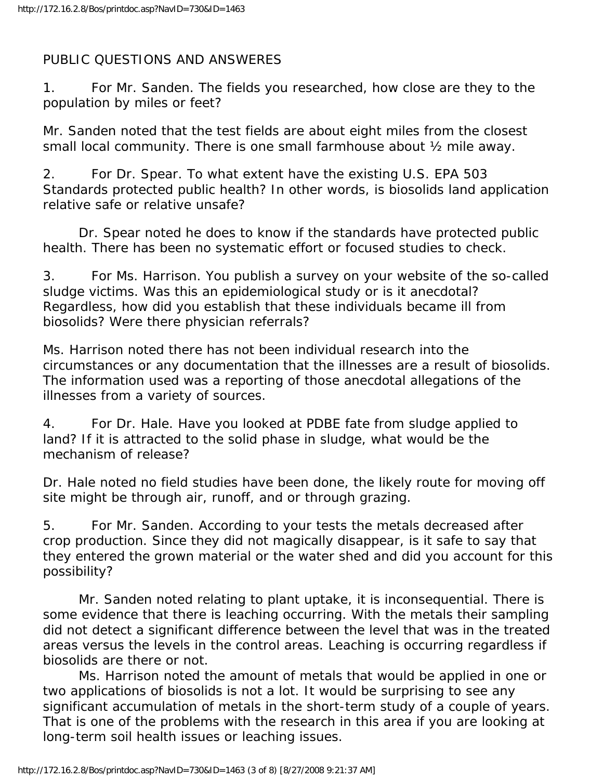# PUBLIC QUESTIONS AND ANSWERES

1. For Mr. Sanden. The fields you researched, how close are they to the population by miles or feet?

Mr. Sanden noted that the test fields are about eight miles from the closest small local community. There is one small farmhouse about ½ mile away.

2. For Dr. Spear. To what extent have the existing U.S. EPA 503 Standards protected public health? In other words, is biosolids land application relative safe or relative unsafe?

 Dr. Spear noted he does to know if the standards have protected public health. There has been no systematic effort or focused studies to check.

3. For Ms. Harrison. You publish a survey on your website of the so-called sludge victims. Was this an epidemiological study or is it anecdotal? Regardless, how did you establish that these individuals became ill from biosolids? Were there physician referrals?

Ms. Harrison noted there has not been individual research into the circumstances or any documentation that the illnesses are a result of biosolids. The information used was a reporting of those anecdotal allegations of the illnesses from a variety of sources.

4. For Dr. Hale. Have you looked at PDBE fate from sludge applied to land? If it is attracted to the solid phase in sludge, what would be the mechanism of release?

Dr. Hale noted no field studies have been done, the likely route for moving off site might be through air, runoff, and or through grazing.

5. For Mr. Sanden. According to your tests the metals decreased after crop production. Since they did not magically disappear, is it safe to say that they entered the grown material or the water shed and did you account for this possibility?

 Mr. Sanden noted relating to plant uptake, it is inconsequential. There is some evidence that there is leaching occurring. With the metals their sampling did not detect a significant difference between the level that was in the treated areas versus the levels in the control areas. Leaching is occurring regardless if biosolids are there or not.

 Ms. Harrison noted the amount of metals that would be applied in one or two applications of biosolids is not a lot. It would be surprising to see any significant accumulation of metals in the short-term study of a couple of years. That is one of the problems with the research in this area if you are looking at long-term soil health issues or leaching issues.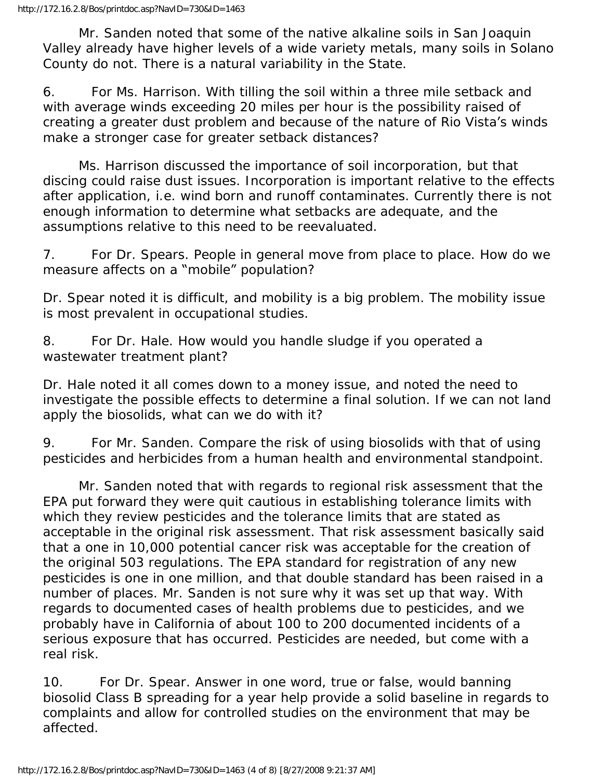Mr. Sanden noted that some of the native alkaline soils in San Joaquin Valley already have higher levels of a wide variety metals, many soils in Solano County do not. There is a natural variability in the State.

6. For Ms. Harrison. With tilling the soil within a three mile setback and with average winds exceeding 20 miles per hour is the possibility raised of creating a greater dust problem and because of the nature of Rio Vista's winds make a stronger case for greater setback distances?

 Ms. Harrison discussed the importance of soil incorporation, but that discing could raise dust issues. Incorporation is important relative to the effects after application, i.e. wind born and runoff contaminates. Currently there is not enough information to determine what setbacks are adequate, and the assumptions relative to this need to be reevaluated.

7. For Dr. Spears. People in general move from place to place. How do we measure affects on a "mobile" population?

Dr. Spear noted it is difficult, and mobility is a big problem. The mobility issue is most prevalent in occupational studies.

8. For Dr. Hale. How would you handle sludge if you operated a wastewater treatment plant?

Dr. Hale noted it all comes down to a money issue, and noted the need to investigate the possible effects to determine a final solution. If we can not land apply the biosolids, what can we do with it?

9. For Mr. Sanden. Compare the risk of using biosolids with that of using pesticides and herbicides from a human health and environmental standpoint.

 Mr. Sanden noted that with regards to regional risk assessment that the EPA put forward they were quit cautious in establishing tolerance limits with which they review pesticides and the tolerance limits that are stated as acceptable in the original risk assessment. That risk assessment basically said that a one in 10,000 potential cancer risk was acceptable for the creation of the original 503 regulations. The EPA standard for registration of any new pesticides is one in one million, and that double standard has been raised in a number of places. Mr. Sanden is not sure why it was set up that way. With regards to documented cases of health problems due to pesticides, and we probably have in California of about 100 to 200 documented incidents of a serious exposure that has occurred. Pesticides are needed, but come with a real risk.

10. For Dr. Spear. Answer in one word, true or false, would banning biosolid Class B spreading for a year help provide a solid baseline in regards to complaints and allow for controlled studies on the environment that may be affected.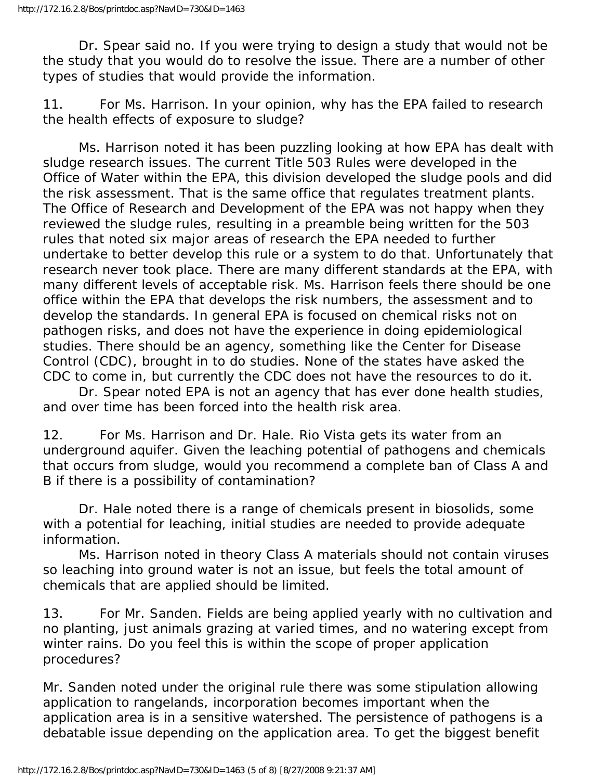Dr. Spear said no. If you were trying to design a study that would not be the study that you would do to resolve the issue. There are a number of other types of studies that would provide the information.

11. For Ms. Harrison. In your opinion, why has the EPA failed to research the health effects of exposure to sludge?

 Ms. Harrison noted it has been puzzling looking at how EPA has dealt with sludge research issues. The current Title 503 Rules were developed in the Office of Water within the EPA, this division developed the sludge pools and did the risk assessment. That is the same office that regulates treatment plants. The Office of Research and Development of the EPA was not happy when they reviewed the sludge rules, resulting in a preamble being written for the 503 rules that noted six major areas of research the EPA needed to further undertake to better develop this rule or a system to do that. Unfortunately that research never took place. There are many different standards at the EPA, with many different levels of acceptable risk. Ms. Harrison feels there should be one office within the EPA that develops the risk numbers, the assessment and to develop the standards. In general EPA is focused on chemical risks not on pathogen risks, and does not have the experience in doing epidemiological studies. There should be an agency, something like the Center for Disease Control (CDC), brought in to do studies. None of the states have asked the CDC to come in, but currently the CDC does not have the resources to do it.

 Dr. Spear noted EPA is not an agency that has ever done health studies, and over time has been forced into the health risk area.

12. For Ms. Harrison and Dr. Hale. Rio Vista gets its water from an underground aquifer. Given the leaching potential of pathogens and chemicals that occurs from sludge, would you recommend a complete ban of Class A and B if there is a possibility of contamination?

 Dr. Hale noted there is a range of chemicals present in biosolids, some with a potential for leaching, initial studies are needed to provide adequate information.

 Ms. Harrison noted in theory Class A materials should not contain viruses so leaching into ground water is not an issue, but feels the total amount of chemicals that are applied should be limited.

13. For Mr. Sanden. Fields are being applied yearly with no cultivation and no planting, just animals grazing at varied times, and no watering except from winter rains. Do you feel this is within the scope of proper application procedures?

Mr. Sanden noted under the original rule there was some stipulation allowing application to rangelands, incorporation becomes important when the application area is in a sensitive watershed. The persistence of pathogens is a debatable issue depending on the application area. To get the biggest benefit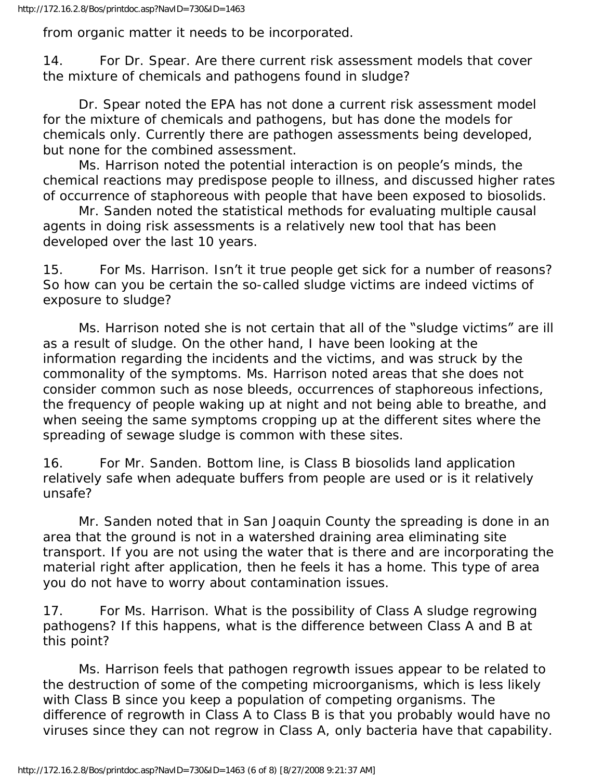from organic matter it needs to be incorporated.

14. For Dr. Spear. Are there current risk assessment models that cover the mixture of chemicals and pathogens found in sludge?

 Dr. Spear noted the EPA has not done a current risk assessment model for the mixture of chemicals and pathogens, but has done the models for chemicals only. Currently there are pathogen assessments being developed, but none for the combined assessment.

 Ms. Harrison noted the potential interaction is on people's minds, the chemical reactions may predispose people to illness, and discussed higher rates of occurrence of staphoreous with people that have been exposed to biosolids.

 Mr. Sanden noted the statistical methods for evaluating multiple causal agents in doing risk assessments is a relatively new tool that has been developed over the last 10 years.

15. For Ms. Harrison. Isn't it true people get sick for a number of reasons? So how can you be certain the so-called sludge victims are indeed victims of exposure to sludge?

 Ms. Harrison noted she is not certain that all of the "sludge victims" are ill as a result of sludge. On the other hand, I have been looking at the information regarding the incidents and the victims, and was struck by the commonality of the symptoms. Ms. Harrison noted areas that she does not consider common such as nose bleeds, occurrences of staphoreous infections, the frequency of people waking up at night and not being able to breathe, and when seeing the same symptoms cropping up at the different sites where the spreading of sewage sludge is common with these sites.

16. For Mr. Sanden. Bottom line, is Class B biosolids land application relatively safe when adequate buffers from people are used or is it relatively unsafe?

 Mr. Sanden noted that in San Joaquin County the spreading is done in an area that the ground is not in a watershed draining area eliminating site transport. If you are not using the water that is there and are incorporating the material right after application, then he feels it has a home. This type of area you do not have to worry about contamination issues.

17. For Ms. Harrison. What is the possibility of Class A sludge regrowing pathogens? If this happens, what is the difference between Class A and B at this point?

 Ms. Harrison feels that pathogen regrowth issues appear to be related to the destruction of some of the competing microorganisms, which is less likely with Class B since you keep a population of competing organisms. The difference of regrowth in Class A to Class B is that you probably would have no viruses since they can not regrow in Class A, only bacteria have that capability.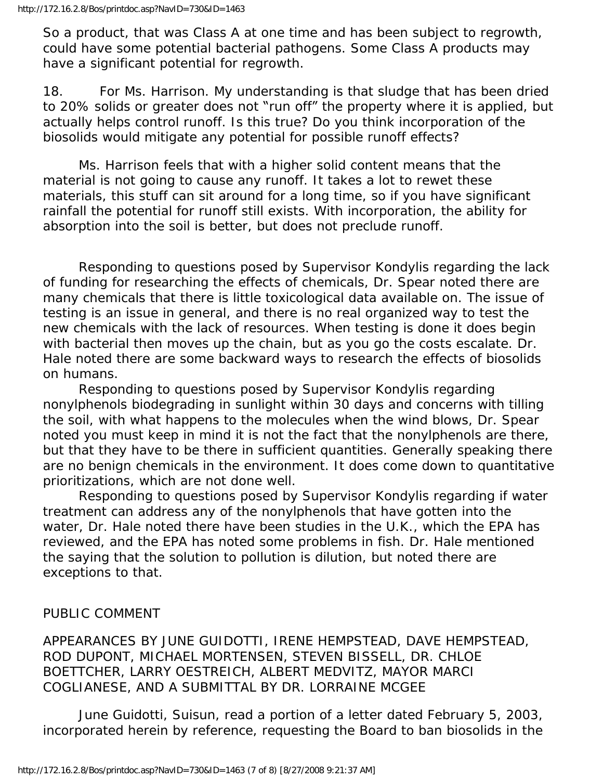So a product, that was Class A at one time and has been subject to regrowth, could have some potential bacterial pathogens. Some Class A products may have a significant potential for regrowth.

18. For Ms. Harrison. My understanding is that sludge that has been dried to 20% solids or greater does not "run off" the property where it is applied, but actually helps control runoff. Is this true? Do you think incorporation of the biosolids would mitigate any potential for possible runoff effects?

 Ms. Harrison feels that with a higher solid content means that the material is not going to cause any runoff. It takes a lot to rewet these materials, this stuff can sit around for a long time, so if you have significant rainfall the potential for runoff still exists. With incorporation, the ability for absorption into the soil is better, but does not preclude runoff.

 Responding to questions posed by Supervisor Kondylis regarding the lack of funding for researching the effects of chemicals, Dr. Spear noted there are many chemicals that there is little toxicological data available on. The issue of testing is an issue in general, and there is no real organized way to test the new chemicals with the lack of resources. When testing is done it does begin with bacterial then moves up the chain, but as you go the costs escalate. Dr. Hale noted there are some backward ways to research the effects of biosolids on humans.

 Responding to questions posed by Supervisor Kondylis regarding nonylphenols biodegrading in sunlight within 30 days and concerns with tilling the soil, with what happens to the molecules when the wind blows, Dr. Spear noted you must keep in mind it is not the fact that the nonylphenols are there, but that they have to be there in sufficient quantities. Generally speaking there are no benign chemicals in the environment. It does come down to quantitative prioritizations, which are not done well.

 Responding to questions posed by Supervisor Kondylis regarding if water treatment can address any of the nonylphenols that have gotten into the water, Dr. Hale noted there have been studies in the U.K., which the EPA has reviewed, and the EPA has noted some problems in fish. Dr. Hale mentioned the saying that the solution to pollution is dilution, but noted there are exceptions to that.

PUBLIC COMMENT

APPEARANCES BY JUNE GUIDOTTI, IRENE HEMPSTEAD, DAVE HEMPSTEAD, ROD DUPONT, MICHAEL MORTENSEN, STEVEN BISSELL, DR. CHLOE BOETTCHER, LARRY OESTREICH, ALBERT MEDVITZ, MAYOR MARCI COGLIANESE, AND A SUBMITTAL BY DR. LORRAINE MCGEE

 June Guidotti, Suisun, read a portion of a letter dated February 5, 2003, incorporated herein by reference, requesting the Board to ban biosolids in the